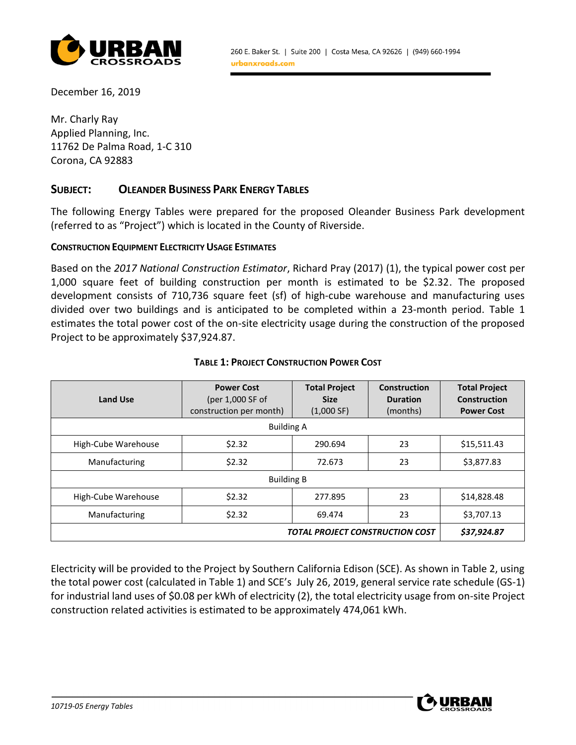

December 16, 2019

Mr. Charly Ray Applied Planning, Inc. 11762 De Palma Road, 1-C 310 Corona, CA 92883

## **SUBJECT: OLEANDER BUSINESS PARK ENERGY TABLES**

The following Energy Tables were prepared for the proposed Oleander Business Park development (referred to as "Project") which is located in the County of Riverside.

#### **CONSTRUCTION EQUIPMENT ELECTRICITY USAGE ESTIMATES**

Based on the *2017 National Construction Estimator*, Richard Pray (2017) (1), the typical power cost per 1,000 square feet of building construction per month is estimated to be \$2.32. The proposed development consists of 710,736 square feet (sf) of high-cube warehouse and manufacturing uses divided over two buildings and is anticipated to be completed within a 23-month period. Table 1 estimates the total power cost of the on-site electricity usage during the construction of the proposed Project to be approximately \$37,924.87.

| <b>Land Use</b>     | <b>Power Cost</b><br>(per 1,000 SF of<br>construction per month) | <b>Total Project</b><br><b>Size</b><br>(1,000 SF) | <b>Construction</b><br><b>Duration</b><br>(months) | <b>Total Project</b><br>Construction<br><b>Power Cost</b> |  |
|---------------------|------------------------------------------------------------------|---------------------------------------------------|----------------------------------------------------|-----------------------------------------------------------|--|
|                     | <b>Building A</b>                                                |                                                   |                                                    |                                                           |  |
| High-Cube Warehouse | \$2.32                                                           | 290.694                                           | 23                                                 | \$15,511.43                                               |  |
| Manufacturing       | \$2.32                                                           | 72.673                                            | 23                                                 | \$3,877.83                                                |  |
| <b>Building B</b>   |                                                                  |                                                   |                                                    |                                                           |  |
| High-Cube Warehouse | \$2.32                                                           | 277.895                                           | 23                                                 | \$14,828.48                                               |  |
| Manufacturing       | \$2.32                                                           | 69.474                                            | 23                                                 | \$3,707.13                                                |  |
|                     | \$37,924.87<br><b>TOTAL PROJECT CONSTRUCTION COST</b>            |                                                   |                                                    |                                                           |  |

### **TABLE 1: PROJECT CONSTRUCTION POWER COST**

Electricity will be provided to the Project by Southern California Edison (SCE). As shown in Table 2, using the total power cost (calculated in Table 1) and SCE's July 26, 2019, general service rate schedule (GS-1) for industrial land uses of \$0.08 per kWh of electricity (2), the total electricity usage from on-site Project construction related activities is estimated to be approximately 474,061 kWh.

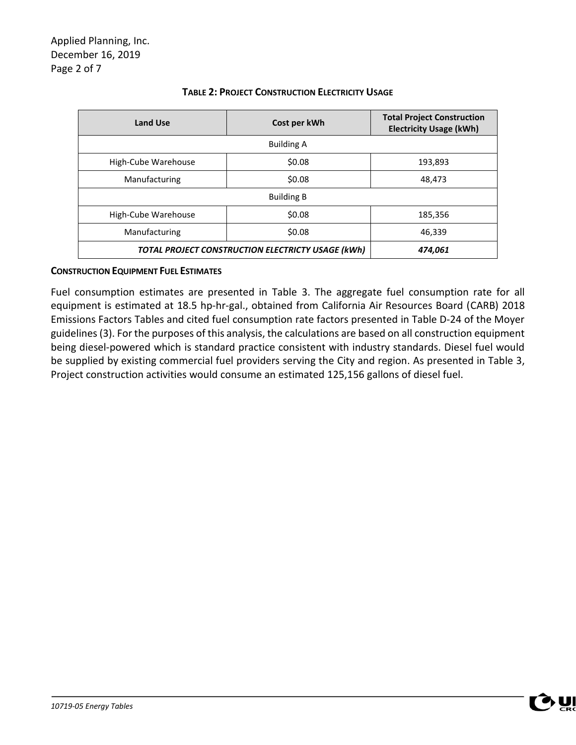| <b>Land Use</b>                                   | Cost per kWh      | <b>Total Project Construction</b><br><b>Electricity Usage (kWh)</b> |
|---------------------------------------------------|-------------------|---------------------------------------------------------------------|
|                                                   | <b>Building A</b> |                                                                     |
| High-Cube Warehouse                               | \$0.08            | 193,893                                                             |
| Manufacturing                                     | \$0.08            | 48,473                                                              |
|                                                   |                   |                                                                     |
| High-Cube Warehouse                               | \$0.08            | 185,356                                                             |
| Manufacturing                                     | \$0.08            | 46,339                                                              |
| TOTAL PROJECT CONSTRUCTION ELECTRICTY USAGE (kWh) | 474,061           |                                                                     |

## **TABLE 2: PROJECT CONSTRUCTION ELECTRICITY USAGE**

### **CONSTRUCTION EQUIPMENT FUEL ESTIMATES**

Fuel consumption estimates are presented in Table 3. The aggregate fuel consumption rate for all equipment is estimated at 18.5 hp-hr-gal., obtained from California Air Resources Board (CARB) 2018 Emissions Factors Tables and cited fuel consumption rate factors presented in Table D‐24 of the Moyer guidelines (3). For the purposes of this analysis, the calculations are based on all construction equipment being diesel‐powered which is standard practice consistent with industry standards. Diesel fuel would be supplied by existing commercial fuel providers serving the City and region. As presented in Table 3, Project construction activities would consume an estimated 125,156 gallons of diesel fuel.

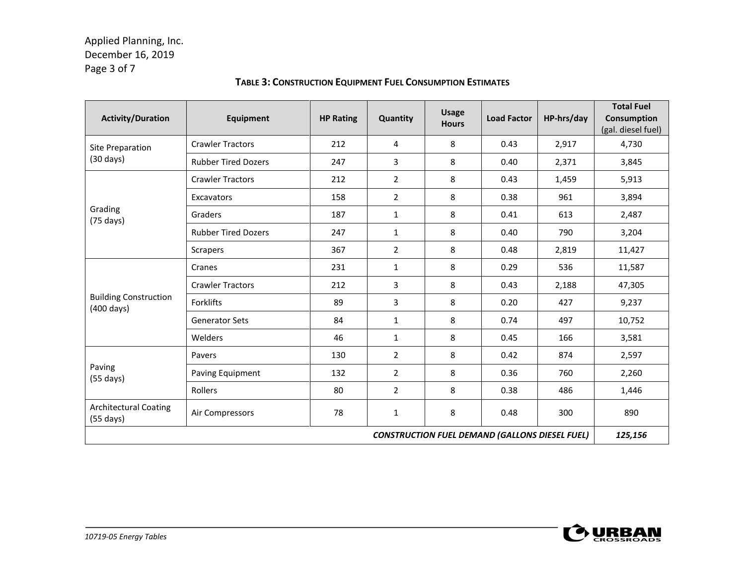## Applied Planning, Inc. December 16, 2019 Page 3 of 7

| <b>Activity/Duration</b>                             | <b>Equipment</b>           | <b>HP Rating</b> | Quantity       | <b>Usage</b><br><b>Hours</b> | <b>Load Factor</b>                                    | HP-hrs/day | <b>Total Fuel</b><br><b>Consumption</b><br>(gal. diesel fuel) |
|------------------------------------------------------|----------------------------|------------------|----------------|------------------------------|-------------------------------------------------------|------------|---------------------------------------------------------------|
| Site Preparation                                     | <b>Crawler Tractors</b>    | 212              | 4              | 8                            | 0.43                                                  | 2,917      | 4,730                                                         |
| $(30 \text{ days})$                                  | <b>Rubber Tired Dozers</b> | 247              | 3              | 8                            | 0.40                                                  | 2,371      | 3,845                                                         |
|                                                      | <b>Crawler Tractors</b>    | 212              | $\overline{2}$ | 8                            | 0.43                                                  | 1,459      | 5,913                                                         |
|                                                      | Excavators                 | 158              | $\overline{2}$ | 8                            | 0.38                                                  | 961        | 3,894                                                         |
| Grading<br>$(75 \text{ days})$                       | Graders                    | 187              | $\mathbf{1}$   | 8                            | 0.41                                                  | 613        | 2,487                                                         |
|                                                      | <b>Rubber Tired Dozers</b> | 247              | $\mathbf{1}$   | 8                            | 0.40                                                  | 790        | 3,204                                                         |
|                                                      | <b>Scrapers</b>            | 367              | $\overline{2}$ | 8                            | 0.48                                                  | 2,819      | 11,427                                                        |
|                                                      | Cranes                     | 231              | $\mathbf{1}$   | 8                            | 0.29                                                  | 536        | 11,587                                                        |
|                                                      | <b>Crawler Tractors</b>    | 212              | 3              | 8                            | 0.43                                                  | 2,188      | 47,305                                                        |
| <b>Building Construction</b><br>$(400 \text{ days})$ | Forklifts                  | 89               | 3              | 8                            | 0.20                                                  | 427        | 9,237                                                         |
|                                                      | <b>Generator Sets</b>      | 84               | $\mathbf{1}$   | 8                            | 0.74                                                  | 497        | 10,752                                                        |
|                                                      | Welders                    | 46               | $\mathbf{1}$   | 8                            | 0.45                                                  | 166        | 3,581                                                         |
|                                                      | Pavers                     | 130              | $\overline{2}$ | 8                            | 0.42                                                  | 874        | 2,597                                                         |
| Paving<br>$(55 \text{ days})$                        | Paving Equipment           | 132              | $\overline{2}$ | 8                            | 0.36                                                  | 760        | 2,260                                                         |
|                                                      | Rollers                    | 80               | $\overline{2}$ | 8                            | 0.38                                                  | 486        | 1,446                                                         |
| <b>Architectural Coating</b><br>$(55 \text{ days})$  | Air Compressors            | 78               | $\mathbf{1}$   | 8                            | 0.48                                                  | 300        | 890                                                           |
|                                                      |                            |                  |                |                              | <b>CONSTRUCTION FUEL DEMAND (GALLONS DIESEL FUEL)</b> |            | 125,156                                                       |

## **TABLE 3: CONSTRUCTION EQUIPMENT FUEL CONSUMPTION ESTIMATES**

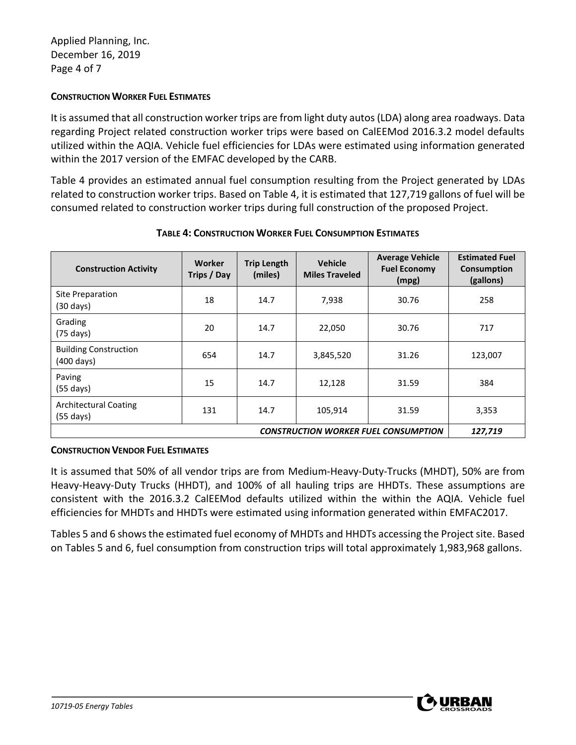## **CONSTRUCTION WORKER FUEL ESTIMATES**

It is assumed that all construction worker trips are from light duty autos (LDA) along area roadways. Data regarding Project related construction worker trips were based on CalEEMod 2016.3.2 model defaults utilized within the AQIA. Vehicle fuel efficiencies for LDAs were estimated using information generated within the 2017 version of the EMFAC developed by the CARB.

Table 4 provides an estimated annual fuel consumption resulting from the Project generated by LDAs related to construction worker trips. Based on Table 4, it is estimated that 127,719 gallons of fuel will be consumed related to construction worker trips during full construction of the proposed Project.

| <b>Construction Activity</b>                         | Worker<br>Trips / Day                                  | <b>Trip Length</b><br>(miles) | <b>Vehicle</b><br><b>Miles Traveled</b> | <b>Average Vehicle</b><br><b>Fuel Economy</b><br>(mpg) | <b>Estimated Fuel</b><br><b>Consumption</b><br>(gallons) |
|------------------------------------------------------|--------------------------------------------------------|-------------------------------|-----------------------------------------|--------------------------------------------------------|----------------------------------------------------------|
| Site Preparation<br>$(30 \text{ days})$              | 18                                                     | 14.7                          | 7,938                                   | 30.76                                                  | 258                                                      |
| Grading<br>$(75 \text{ days})$                       | 20                                                     | 14.7                          | 22,050                                  | 30.76                                                  | 717                                                      |
| <b>Building Construction</b><br>$(400 \text{ days})$ | 654                                                    | 14.7                          | 3,845,520                               | 31.26                                                  | 123,007                                                  |
| Paving<br>$(55 \text{ days})$                        | 15                                                     | 14.7                          | 12,128                                  | 31.59                                                  | 384                                                      |
| <b>Architectural Coating</b><br>$(55 \text{ days})$  | 131                                                    | 14.7                          | 105,914                                 | 31.59                                                  | 3,353                                                    |
|                                                      | 127,719<br><b>CONSTRUCTION WORKER FUEL CONSUMPTION</b> |                               |                                         |                                                        |                                                          |

## **TABLE 4: CONSTRUCTION WORKER FUEL CONSUMPTION ESTIMATES**

## **CONSTRUCTION VENDOR FUEL ESTIMATES**

It is assumed that 50% of all vendor trips are from Medium-Heavy-Duty-Trucks (MHDT), 50% are from Heavy-Heavy-Duty Trucks (HHDT), and 100% of all hauling trips are HHDTs. These assumptions are consistent with the 2016.3.2 CalEEMod defaults utilized within the within the AQIA. Vehicle fuel efficiencies for MHDTs and HHDTs were estimated using information generated within EMFAC2017.

Tables 5 and 6 shows the estimated fuel economy of MHDTs and HHDTs accessing the Project site. Based on Tables 5 and 6, fuel consumption from construction trips will total approximately 1,983,968 gallons.

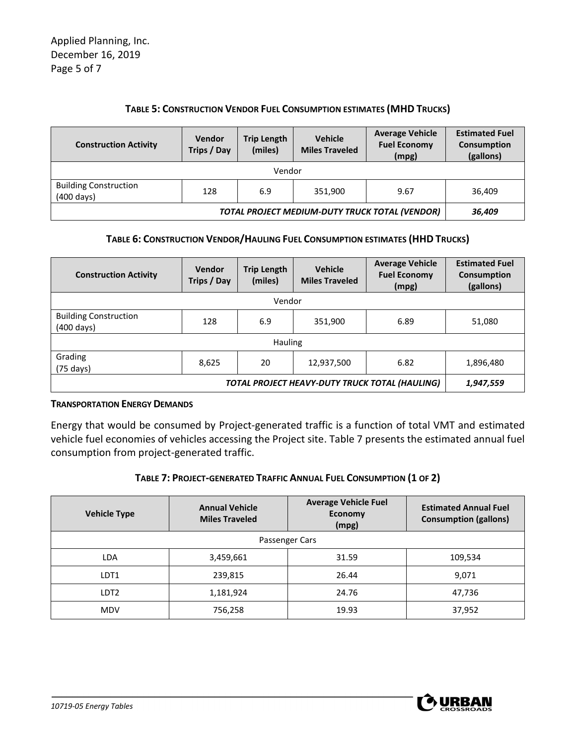### **TABLE 5: CONSTRUCTION VENDOR FUEL CONSUMPTION ESTIMATES (MHD TRUCKS)**

| <b>Construction Activity</b>                         | Vendor<br>Trips / Day                   | <b>Trip Length</b><br>(miles) | <b>Vehicle</b><br><b>Miles Traveled</b> | <b>Average Vehicle</b><br><b>Fuel Economy</b><br>(mpg) | <b>Estimated Fuel</b><br>Consumption<br>(gallons) |
|------------------------------------------------------|-----------------------------------------|-------------------------------|-----------------------------------------|--------------------------------------------------------|---------------------------------------------------|
| Vendor                                               |                                         |                               |                                         |                                                        |                                                   |
| <b>Building Construction</b><br>$(400 \text{ days})$ | 128<br>351,900<br>9.67<br>36,409<br>6.9 |                               |                                         |                                                        |                                                   |
| TOTAL PROJECT MEDIUM-DUTY TRUCK TOTAL (VENDOR)       |                                         |                               |                                         |                                                        | 36,409                                            |

## **TABLE 6: CONSTRUCTION VENDOR/HAULING FUEL CONSUMPTION ESTIMATES (HHD TRUCKS)**

| <b>Construction Activity</b>                         | Vendor<br>Trips / Day | <b>Trip Length</b><br>(miles) | <b>Vehicle</b><br><b>Miles Traveled</b> | <b>Average Vehicle</b><br><b>Fuel Economy</b><br>(mpg) | <b>Estimated Fuel</b><br>Consumption<br>(gallons) |
|------------------------------------------------------|-----------------------|-------------------------------|-----------------------------------------|--------------------------------------------------------|---------------------------------------------------|
|                                                      |                       | Vendor                        |                                         |                                                        |                                                   |
| <b>Building Construction</b><br>$(400 \text{ days})$ | 128                   | 6.9                           | 351,900                                 | 6.89                                                   | 51,080                                            |
| <b>Hauling</b>                                       |                       |                               |                                         |                                                        |                                                   |
| Grading<br>$(75 \text{ days})$                       | 8,625                 | 20                            | 12,937,500                              | 6.82                                                   | 1,896,480                                         |
| TOTAL PROJECT HEAVY-DUTY TRUCK TOTAL (HAULING)       |                       |                               |                                         |                                                        | 1,947,559                                         |

#### **TRANSPORTATION ENERGY DEMANDS**

Energy that would be consumed by Project‐generated traffic is a function of total VMT and estimated vehicle fuel economies of vehicles accessing the Project site. Table 7 presents the estimated annual fuel consumption from project-generated traffic.

#### **TABLE 7: PROJECT-GENERATED TRAFFIC ANNUAL FUEL CONSUMPTION (1 OF 2)**

| <b>Vehicle Type</b> | <b>Annual Vehicle</b><br><b>Miles Traveled</b> | <b>Average Vehicle Fuel</b><br>Economy<br>(mpg) | <b>Estimated Annual Fuel</b><br><b>Consumption (gallons)</b> |
|---------------------|------------------------------------------------|-------------------------------------------------|--------------------------------------------------------------|
|                     |                                                | Passenger Cars                                  |                                                              |
| LDA                 | 3,459,661                                      | 31.59                                           | 109,534                                                      |
| LDT1                | 239,815                                        | 26.44                                           | 9,071                                                        |
| LDT <sub>2</sub>    | 1,181,924                                      | 24.76                                           | 47,736                                                       |
| <b>MDV</b>          | 756,258                                        | 19.93                                           | 37,952                                                       |

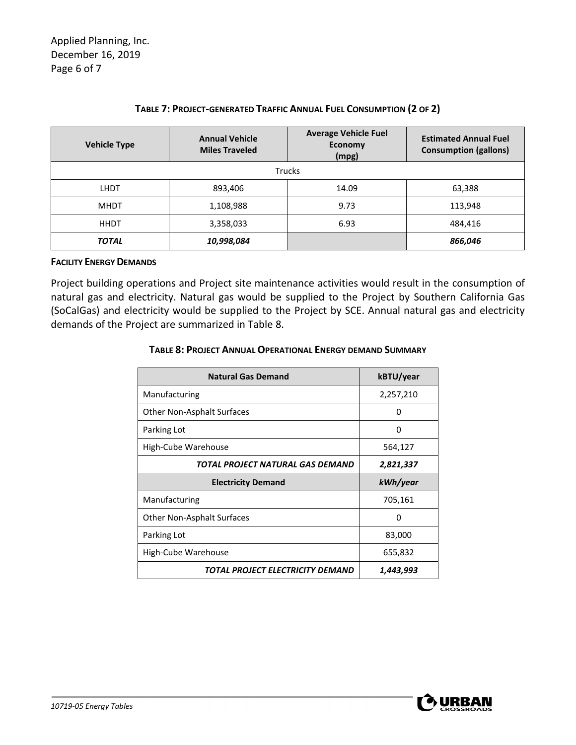| <b>Vehicle Type</b> | <b>Annual Vehicle</b><br><b>Miles Traveled</b> | <b>Average Vehicle Fuel</b><br>Economy<br>(mpg) | <b>Estimated Annual Fuel</b><br><b>Consumption (gallons)</b> |
|---------------------|------------------------------------------------|-------------------------------------------------|--------------------------------------------------------------|
|                     |                                                | <b>Trucks</b>                                   |                                                              |
| <b>LHDT</b>         | 893,406                                        | 14.09                                           | 63,388                                                       |
| <b>MHDT</b>         | 1,108,988                                      | 9.73                                            | 113,948                                                      |
| <b>HHDT</b>         | 3,358,033                                      | 6.93                                            | 484,416                                                      |
| <b>TOTAL</b>        | 10,998,084                                     |                                                 | 866,046                                                      |

## **TABLE 7: PROJECT-GENERATED TRAFFIC ANNUAL FUEL CONSUMPTION (2 OF 2)**

#### **FACILITY ENERGY DEMANDS**

Project building operations and Project site maintenance activities would result in the consumption of natural gas and electricity. Natural gas would be supplied to the Project by Southern California Gas (SoCalGas) and electricity would be supplied to the Project by SCE. Annual natural gas and electricity demands of the Project are summarized in Table 8.

#### **TABLE 8: PROJECT ANNUAL OPERATIONAL ENERGY DEMAND SUMMARY**

| <b>Natural Gas Demand</b>         | kBTU/year |
|-----------------------------------|-----------|
| Manufacturing                     | 2,257,210 |
| <b>Other Non-Asphalt Surfaces</b> | 0         |
| Parking Lot                       | 0         |
| High-Cube Warehouse               | 564,127   |
| TOTAL PROJECT NATURAL GAS DEMAND  | 2,821,337 |
| <b>Electricity Demand</b>         | kWh/year  |
| Manufacturing                     | 705,161   |
| <b>Other Non-Asphalt Surfaces</b> | 0         |
| Parking Lot                       | 83,000    |
| High-Cube Warehouse               | 655,832   |
| TOTAL PROJECT ELECTRICITY DEMAND  | 1,443,993 |